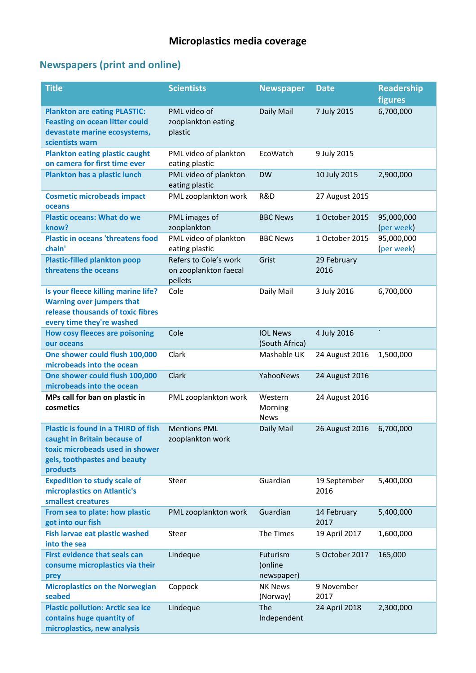## **Newspapers (print and online)**

| <b>Title</b>                                                                                                                                              | <b>Scientists</b>                                         | <b>Newspaper</b>                  | <b>Date</b>          | <b>Readership</b><br>figures |
|-----------------------------------------------------------------------------------------------------------------------------------------------------------|-----------------------------------------------------------|-----------------------------------|----------------------|------------------------------|
| <b>Plankton are eating PLASTIC:</b><br><b>Feasting on ocean litter could</b><br>devastate marine ecosystems,<br>scientists warn                           | PML video of<br>zooplankton eating<br>plastic             | Daily Mail                        | 7 July 2015          | 6,700,000                    |
| <b>Plankton eating plastic caught</b><br>on camera for first time ever                                                                                    | PML video of plankton<br>eating plastic                   | EcoWatch                          | 9 July 2015          |                              |
| <b>Plankton has a plastic lunch</b>                                                                                                                       | PML video of plankton<br>eating plastic                   | <b>DW</b>                         | 10 July 2015         | 2,900,000                    |
| <b>Cosmetic microbeads impact</b><br>oceans                                                                                                               | PML zooplankton work                                      | R&D                               | 27 August 2015       |                              |
| <b>Plastic oceans: What do we</b><br>know?                                                                                                                | PML images of<br>zooplankton                              | <b>BBC News</b>                   | 1 October 2015       | 95,000,000<br>(per week)     |
| <b>Plastic in oceans 'threatens food</b><br>chain'                                                                                                        | PML video of plankton<br>eating plastic                   | <b>BBC News</b>                   | 1 October 2015       | 95,000,000<br>(per week)     |
| <b>Plastic-filled plankton poop</b><br>threatens the oceans                                                                                               | Refers to Cole's work<br>on zooplankton faecal<br>pellets | Grist                             | 29 February<br>2016  |                              |
| Is your fleece killing marine life?<br><b>Warning over jumpers that</b><br>release thousands of toxic fibres<br>every time they're washed                 | Cole                                                      | Daily Mail                        | 3 July 2016          | 6,700,000                    |
| <b>How cosy fleeces are poisoning</b><br>our oceans                                                                                                       | Cole                                                      | <b>IOL News</b><br>(South Africa) | 4 July 2016          | $\overline{\phantom{a}}$     |
| One shower could flush 100,000<br>microbeads into the ocean                                                                                               | Clark                                                     | Mashable UK                       | 24 August 2016       | 1,500,000                    |
| One shower could flush 100,000<br>microbeads into the ocean                                                                                               | Clark                                                     | YahooNews                         | 24 August 2016       |                              |
| MPs call for ban on plastic in<br>cosmetics                                                                                                               | PML zooplankton work                                      | Western<br>Morning<br><b>News</b> | 24 August 2016       |                              |
| <b>Plastic is found in a THIRD of fish</b><br>caught in Britain because of<br>toxic microbeads used in shower<br>gels, toothpastes and beauty<br>products | <b>Mentions PML</b><br>zooplankton work                   | Daily Mail                        | 26 August 2016       | 6,700,000                    |
| <b>Expedition to study scale of</b><br>microplastics on Atlantic's<br>smallest creatures                                                                  | Steer                                                     | Guardian                          | 19 September<br>2016 | 5,400,000                    |
| From sea to plate: how plastic<br>got into our fish                                                                                                       | PML zooplankton work                                      | Guardian                          | 14 February<br>2017  | 5,400,000                    |
| <b>Fish larvae eat plastic washed</b><br>into the sea                                                                                                     | Steer                                                     | The Times                         | 19 April 2017        | 1,600,000                    |
| <b>First evidence that seals can</b><br>consume microplastics via their<br>prey                                                                           | Lindeque                                                  | Futurism<br>(online<br>newspaper) | 5 October 2017       | 165,000                      |
| <b>Microplastics on the Norwegian</b><br>seabed                                                                                                           | Coppock                                                   | <b>NK News</b><br>(Norway)        | 9 November<br>2017   |                              |
| <b>Plastic pollution: Arctic sea ice</b><br>contains huge quantity of<br>microplastics, new analysis                                                      | Lindeque                                                  | The<br>Independent                | 24 April 2018        | 2,300,000                    |